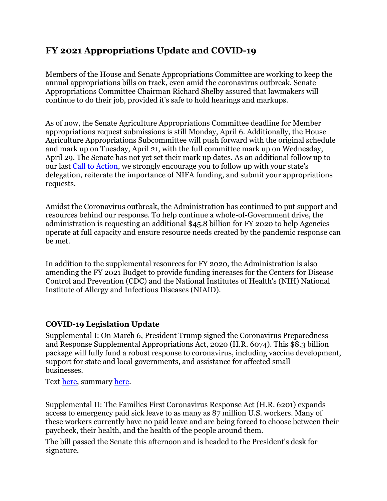## **FY 2021 Appropriations Update and COVID-19**

Members of the House and Senate Appropriations Committee are working to keep the annual appropriations bills on track, even amid the coronavirus outbreak. Senate Appropriations Committee Chairman Richard Shelby assured that lawmakers will continue to do their job, provided it's safe to hold hearings and markups.

As of now, the Senate Agriculture Appropriations Committee deadline for Member appropriations request submissions is still Monday, April 6. Additionally, the House Agriculture Appropriations Subcommittee will push forward with the original schedule and mark up on Tuesday, April 21, with the full committee mark up on Wednesday, April 29. The Senate has not yet set their mark up dates. As an additional follow up to our last [Call to Action,](http://r20.rs6.net/tn.jsp?f=001U5RpEbw2mUveu1Y5GJf9jp3O4p9mR4E6oxNd9HWOvPaOAY9N2RIxPwlU2v7s5V1-SQBku-8SQpPoFWdw4mSdBH2EPuhA5jOLn0t4tgcRZ2ShK8gBX5GrM_EX61K650X6-PlfbmetaUwMUxi6xkUN2eVz08Rv2jZ_bY2e35NHMjQHytTzEejF6Up3IRl8_TBn&c=69wH5NbyKlJ0nzyPasfF4WwtZ8XdsGZAfbmEg3IYiSYxl3pSpyDEfA==&ch=PWqRhVFCsxjwM_g2dC1ALZMTTOAPPHbZLdJyO6iLFmLABeZ-kV-3fg==) we strongly encourage you to follow up with your state's delegation, reiterate the importance of NIFA funding, and submit your appropriations requests.

Amidst the Coronavirus outbreak, the Administration has continued to put support and resources behind our response. To help continue a whole-of-Government drive, the administration is requesting an additional \$45.8 billion for FY 2020 to help Agencies operate at full capacity and ensure resource needs created by the pandemic response can be met.

In addition to the supplemental resources for FY 2020, the Administration is also amending the FY 2021 Budget to provide funding increases for the Centers for Disease Control and Prevention (CDC) and the National Institutes of Health's (NIH) National Institute of Allergy and Infectious Diseases (NIAID).

## **COVID-19 Legislation Update**

Supplemental I: On March 6, President Trump signed the Coronavirus Preparedness and Response Supplemental Appropriations Act, 2020 (H.R. 6074). This \$8.3 billion package will fully fund a robust response to coronavirus, including vaccine development, support for state and local governments, and assistance for affected small businesses.

Text [here,](http://r20.rs6.net/tn.jsp?f=001U5RpEbw2mUveu1Y5GJf9jp3O4p9mR4E6oxNd9HWOvPaOAY9N2RIxPwlU2v7s5V1-O0LQqSA4ZjPlJEfCNmftQcif4V9UoiSnhsL37GrvkVdRphLKowMqDtrVFMY2WocFCY8myGjhPyo5SCowOqS781m67U2zBVvhF_2vQ_Srdec1mF_8BHM6ZvGscSH4aVfBtVuZXdgFX6MfmUJ6CWTsV9J8LpmR_6ntN3SYV7ffMz8=&c=69wH5NbyKlJ0nzyPasfF4WwtZ8XdsGZAfbmEg3IYiSYxl3pSpyDEfA==&ch=PWqRhVFCsxjwM_g2dC1ALZMTTOAPPHbZLdJyO6iLFmLABeZ-kV-3fg==) summary [here.](http://r20.rs6.net/tn.jsp?f=001U5RpEbw2mUveu1Y5GJf9jp3O4p9mR4E6oxNd9HWOvPaOAY9N2RIxPwlU2v7s5V1-xqNNbVJDOut9VaGFGIg_S42EZWtdleSZ2XmPr7d8Na11IPIIqlQu8XZ6_-mWB7EXiz7ugj0LC_P-YTJ8B_m05f-FaUye7dGhFctumigfQqs1p2YCVcpn7I8eDI0sXhUh5V2yIC2NkFJvNtNhM9WEmf5J8LFLHGKDwRUEIBZKrTehJLI0DyCjKiGRgo_ZIluSxRfqqQcNsn6ZXfxMtl7xgDNlpKwBR9QSsEqa8-O2Ygw=&c=69wH5NbyKlJ0nzyPasfF4WwtZ8XdsGZAfbmEg3IYiSYxl3pSpyDEfA==&ch=PWqRhVFCsxjwM_g2dC1ALZMTTOAPPHbZLdJyO6iLFmLABeZ-kV-3fg==)

Supplemental II: The Families First Coronavirus Response Act (H.R. 6201) expands access to emergency paid sick leave to as many as 87 million U.S. workers. Many of these workers currently have no paid leave and are being forced to choose between their paycheck, their health, and the health of the people around them.

The bill passed the Senate this afternoon and is headed to the President's desk for signature.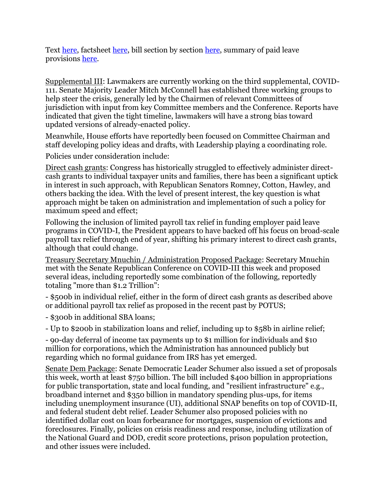Text [here,](http://r20.rs6.net/tn.jsp?f=001U5RpEbw2mUveu1Y5GJf9jp3O4p9mR4E6oxNd9HWOvPaOAY9N2RIxPwlU2v7s5V1-xun5P8kRQO4REcy7MrzgZQd90S8-mU25No1eaxXk2_bDKBCs_l0xXq66xnWMb3YGsk27IlXjsrzr8JgZKIiWnEjD0k8l5VpxYA-JsQ02WJsZf0dhy5qC8Mx5B2oZOjnvLcbSFbPgtEYGCFv-BT_2ELQwtlcwj4BJOTofLBHKQs8=&c=69wH5NbyKlJ0nzyPasfF4WwtZ8XdsGZAfbmEg3IYiSYxl3pSpyDEfA==&ch=PWqRhVFCsxjwM_g2dC1ALZMTTOAPPHbZLdJyO6iLFmLABeZ-kV-3fg==) factsheet [here,](http://r20.rs6.net/tn.jsp?f=001U5RpEbw2mUveu1Y5GJf9jp3O4p9mR4E6oxNd9HWOvPaOAY9N2RIxPwlU2v7s5V1-TxQSREDjO5lMJXe0R-fpyxCJVJy-Gc1Ekl-sg_oDU0PjZKGTuYoTGULaxfx9ZKWlmMyZ-SOgwFP2IozqEL8PPjh7ImvXZBYygRwdQccvkDvLsyqeo3qXv6f3eSzMSX_M8DaOI5ZSacXV7ep6PmkMOjZXzTzPL9Y7DzgPAhLjl0FmM7JL-tt1joN4tWVCMl6vFv7Av-wIZNnqmNExkKrtyWQYRi-VVXbyJAUPTACfdVY618cGB9KyalWv_OlOX9CRIqY9CE4KIjSY0nx4XRt7HjAA7TtVkzo9&c=69wH5NbyKlJ0nzyPasfF4WwtZ8XdsGZAfbmEg3IYiSYxl3pSpyDEfA==&ch=PWqRhVFCsxjwM_g2dC1ALZMTTOAPPHbZLdJyO6iLFmLABeZ-kV-3fg==) bill section by section [here,](http://r20.rs6.net/tn.jsp?f=001U5RpEbw2mUveu1Y5GJf9jp3O4p9mR4E6oxNd9HWOvPaOAY9N2RIxPwlU2v7s5V1-37favxA3ttsq0yf_GejAx00Kt2ECnbN3ePt4AS9oQXB92od8ypzp2RpLlqXTCNwQEkZY-uT2R0h0d6Ezmsc5G3m24w5r5O_z1hahSbBxM7HwTl7fNqWKsj-AR-KHKtHB0ubAgb_tkHIczwcZ3OihEnz84CxlLHEc-1ow2RUThLocOeF5dRce-yQK7n7F7yBX-z_FuS_ki4LCrO9Cykbp3aTCV3UGH2zRrpz66W6W1LPFEW2EL2TQmdAoOHAwcg5po_7-em2WE802CjYsaRHK2ZFGqdBOE1V7BSDoNXmNd9M-gIO0LTOEKAeW0_fdvx2GfYzEQZ1oUlO7nYIILiwKa99a2q72waycosXeNG2e8NX23m8mxRW77meMNQmaOMzalikxhKLTDFnLXrmoc9bU1Q==&c=69wH5NbyKlJ0nzyPasfF4WwtZ8XdsGZAfbmEg3IYiSYxl3pSpyDEfA==&ch=PWqRhVFCsxjwM_g2dC1ALZMTTOAPPHbZLdJyO6iLFmLABeZ-kV-3fg==) summary of paid leave provisions [here.](http://r20.rs6.net/tn.jsp?f=001U5RpEbw2mUveu1Y5GJf9jp3O4p9mR4E6oxNd9HWOvPaOAY9N2RIxPwlU2v7s5V1-XUplODQzsiLLeunD_LHRWzjBMiFNeFFCV7I5FCO9o3UOCa3lsLbXXzThjwgVtFQh1z5dBUDRiaB_-wxS6bBtu7xj7nOx3pnooAtt624km2MaXfMAAmZyLyTdU2f_ONX-bFFu1OtfFc5UN-0vvzFmtrHz3M4h40jB-NdU37l83aheZZ7StAQ7WOCr5UsisaDPMnd3d_QFTJuiF801i7WrjAAB0tzaa2d6IojdRbID9wo=&c=69wH5NbyKlJ0nzyPasfF4WwtZ8XdsGZAfbmEg3IYiSYxl3pSpyDEfA==&ch=PWqRhVFCsxjwM_g2dC1ALZMTTOAPPHbZLdJyO6iLFmLABeZ-kV-3fg==)

Supplemental III: Lawmakers are currently working on the third supplemental, COVID-111. Senate Majority Leader Mitch McConnell has established three working groups to help steer the crisis, generally led by the Chairmen of relevant Committees of jurisdiction with input from key Committee members and the Conference. Reports have indicated that given the tight timeline, lawmakers will have a strong bias toward updated versions of already-enacted policy.

Meanwhile, House efforts have reportedly been focused on Committee Chairman and staff developing policy ideas and drafts, with Leadership playing a coordinating role.

Policies under consideration include:

Direct cash grants: Congress has historically struggled to effectively administer directcash grants to individual taxpayer units and families, there has been a significant uptick in interest in such approach, with Republican Senators Romney, Cotton, Hawley, and others backing the idea. With the level of present interest, the key question is what approach might be taken on administration and implementation of such a policy for maximum speed and effect;

Following the inclusion of limited payroll tax relief in funding employer paid leave programs in COVID-I, the President appears to have backed off his focus on broad-scale payroll tax relief through end of year, shifting his primary interest to direct cash grants, although that could change.

Treasury Secretary Mnuchin / Administration Proposed Package: Secretary Mnuchin met with the Senate Republican Conference on COVID-III this week and proposed several ideas, including reportedly some combination of the following, reportedly totaling "more than \$1.2 Trillion":

- \$500b in individual relief, either in the form of direct cash grants as described above or additional payroll tax relief as proposed in the recent past by POTUS;

- \$300b in additional SBA loans;

- Up to \$200b in stabilization loans and relief, including up to \$58b in airline relief;

- 90-day deferral of income tax payments up to \$1 million for individuals and \$10 million for corporations, which the Administration has announced publicly but regarding which no formal guidance from IRS has yet emerged.

Senate Dem Package: Senate Democratic Leader Schumer also issued a set of proposals this week, worth at least \$750 billion. The bill included \$400 billion in appropriations for public transportation, state and local funding, and "resilient infrastructure" e.g., broadband internet and \$350 billion in mandatory spending plus-ups, for items including unemployment insurance (UI), additional SNAP benefits on top of COVID-II, and federal student debt relief. Leader Schumer also proposed policies with no identified dollar cost on loan forbearance for mortgages, suspension of evictions and foreclosures. Finally, policies on crisis readiness and response, including utilization of the National Guard and DOD, credit score protections, prison population protection, and other issues were included.